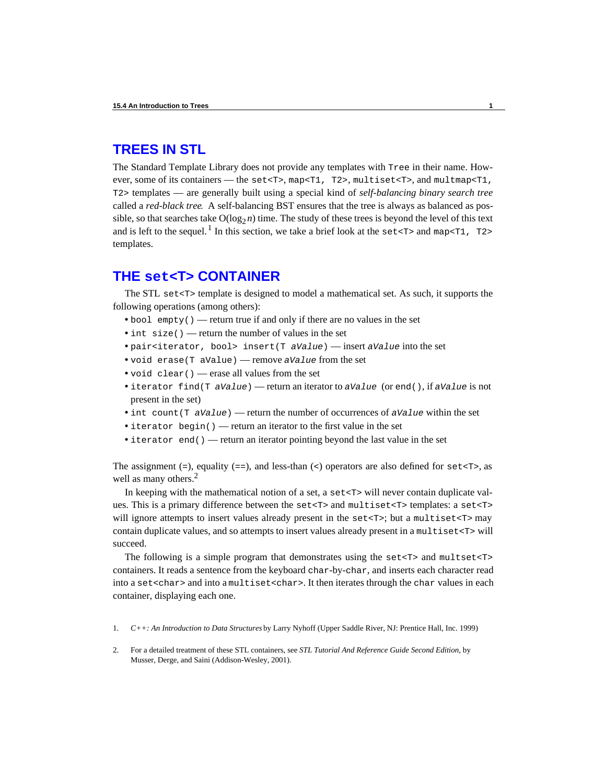# **TREES IN STL**

The Standard Template Library does not provide any templates with Tree in their name. However, some of its containers — the set<T>, map<T1, T2>, multiset<T>, and multmap<T1, T2> templates — are generally built using a special kind of *self-balancing binary search tree* called a *red-black tree*. A self-balancing BST ensures that the tree is always as balanced as possible, so that searches take  $O(log_2 n)$  time. The study of these trees is beyond the level of this text and is left to the sequel.<sup>1</sup> In this section, we take a brief look at the set  $\tau$  and map  $\tau$ 1,  $\tau$ 2> templates.

## **THE set<T> CONTAINER**

The STL set<T> template is designed to model a mathematical set. As such, it supports the following operations (among others):

- **•** bool empty() return true if and only if there are no values in the set
- int size() return the number of values in the set
- **•** pair<iterator, bool> insert(T *aValue*) insert *aValue* into the set
- **•** void erase(T aValue) remove *aValue* from the set
- void clear() erase all values from the set
- **•** iterator find(T *aValue*) return an iterator to *aValue* (or end(), if *aValue* is not present in the set)
- **•** int count(T *aValue*) return the number of occurrences of *aValue* within the set
- iterator begin() return an iterator to the first value in the set
- iterator end() return an iterator pointing beyond the last value in the set

The assignment  $(=)$ , equality  $(==)$ , and less-than  $($  operators are also defined for set <T>, as well as many others.<sup>2</sup>

In keeping with the mathematical notion of a set, a  $set < T$  will never contain duplicate values. This is a primary difference between the set<T> and multiset<T> templates: a set<T> will ignore attempts to insert values already present in the  $set < T$ ; but a multiset $< T$  may contain duplicate values, and so attempts to insert values already present in a multiset<T> will succeed.

The following is a simple program that demonstrates using the  $set < T$  and multset $< T$ containers. It reads a sentence from the keyboard char-by-char, and inserts each character read into a set<char> and into a multiset<char>. It then iterates through the char values in each container, displaying each one.

- 1. *C++: An Introduction to Data Structures* by Larry Nyhoff (Upper Saddle River, NJ: Prentice Hall, Inc. 1999)
- 2. For a detailed treatment of these STL containers, see *STL Tutorial And Reference Guide Second Edition*, by Musser, Derge, and Saini (Addison-Wesley, 2001).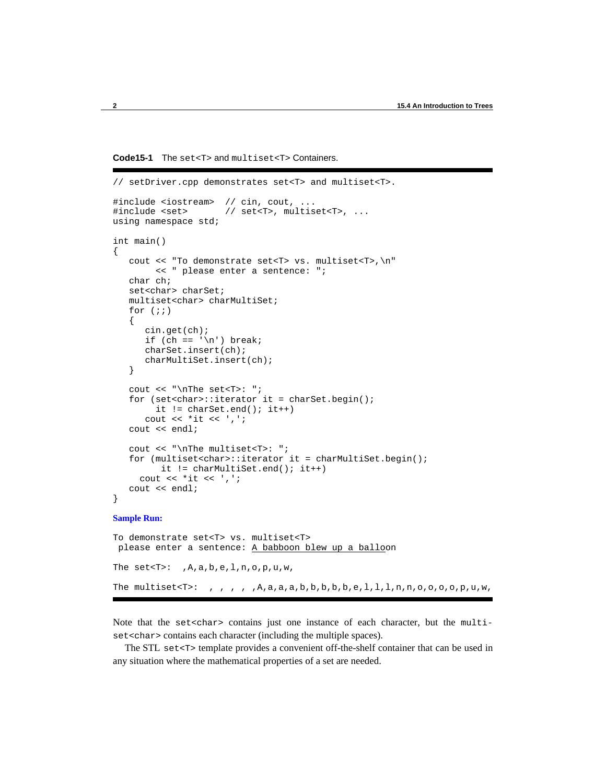```
Code15-1 The set<T> and multiset<T> Containers.
```

```
// setDriver.cpp demonstrates set<T> and multiset<T>.
#include <iostream> // cin, cout, ...
                      // set<T>, multiset<T>, ...
using namespace std;
int main()
{
    cout << "To demonstrate set<T> vs. multiset<T>,\n"
         << " please enter a sentence: ";
    char ch;
   set<char> charSet;
    multiset<char> charMultiSet;
   for (i; j) {
       cin.get(ch);
      if (ch == '\n\in ') break;
       charSet.insert(ch);
       charMultiSet.insert(ch);
    }
   cout << "\nThe set<T>: ";
   for (set<char>::iterator it = charSet.begin();
        it != charSet.end(); it++)
       cout << *it << ',';
    cout << endl;
    cout << "\nThe multiset<T>: ";
    for (multiset<char>::iterator it = charMultiSet.begin();
          it != charMultiSet.end(); it++)
     cout \lt\lt \cdot *it \lt\lt' ',';
    cout << endl;
}
```
#### **Sample Run:**

To demonstrate set<T> vs. multiset<T> please enter a sentence: A babboon blew up a balloon The set < $T$ >: , $A$ , $a$ , $b$ , $e$ , $1$ , $n$ , $o$ , $p$ , $u$ , $w$ , The multiset<T>: , , , , ,  $A, a, a, b, b, b, b, b, e, l, l, l, n, n, o, o, o, o, p, u, w$ ,

Note that the set<char> contains just one instance of each character, but the multiset<char> contains each character (including the multiple spaces).

The STL set $\langle \text{Tr} \rangle$  template provides a convenient off-the-shelf container that can be used in any situation where the mathematical properties of a set are needed.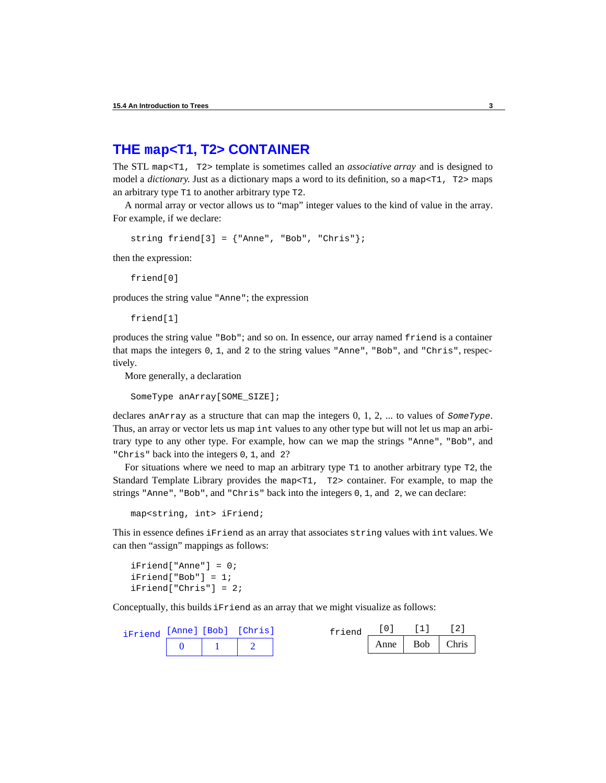# **THE map<T1, T2> CONTAINER**

The STL map<T1, T2> template is sometimes called an *associative array* and is designed to model a *dictionary*. Just as a dictionary maps a word to its definition, so a map <T1, T2> maps an arbitrary type T1 to another arbitrary type T2.

A normal array or vector allows us to "map" integer values to the kind of value in the array. For example, if we declare:

```
string friend[3] = {'|}Anne", "Bob", "Chris"};
```
then the expression:

friend[0]

produces the string value "Anne"; the expression

friend[1]

produces the string value "Bob"; and so on. In essence, our array named friend is a container that maps the integers 0, 1, and 2 to the string values "Anne", "Bob", and "Chris", respectively.

More generally, a declaration

SomeType anArray[SOME\_SIZE];

declares anArray as a structure that can map the integers 0, 1, 2, ... to values of *SomeType*. Thus, an array or vector lets us map int values to any other type but will not let us map an arbitrary type to any other type. For example, how can we map the strings "Anne", "Bob", and "Chris" back into the integers 0, 1, and 2?

For situations where we need to map an arbitrary type T1 to another arbitrary type T2, the Standard Template Library provides the map<T1, T2> container. For example, to map the strings "Anne", "Bob", and "Chris" back into the integers 0, 1, and 2, we can declare:

map<string, int> iFriend;

This in essence defines iFriend as an array that associates string values with int values. We can then "assign" mappings as follows:

iFriend["Anne"] = 0; iFriend["Bob"] = 1; iFriend["Chris"] = 2;

Conceptually, this builds iFriend as an array that we might visualize as follows:

| iFriend [Anne] [Bob] [Chris] |  | friend |      |     |       |
|------------------------------|--|--------|------|-----|-------|
|                              |  |        | Anne | Bob | Chris |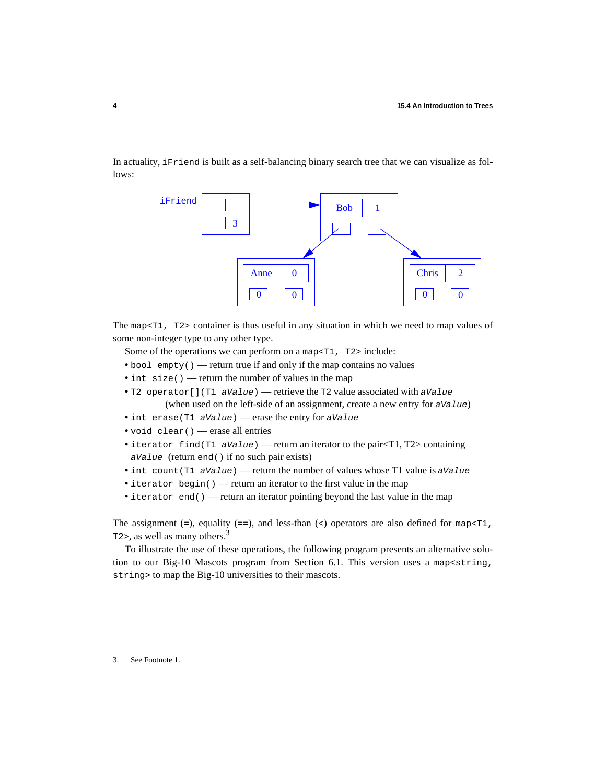In actuality, iFriend is built as a self-balancing binary search tree that we can visualize as follows:



The map <T1, T2> container is thus useful in any situation in which we need to map values of some non-integer type to any other type.

Some of the operations we can perform on a map $\leq$ T1, T2> include:

- bool empty() return true if and only if the map contains no values
- int size() return the number of values in the map
- **•** T2 operator[](T1 *aValue*) retrieve the T2 value associated with *aValue* (when used on the left-side of an assignment, create a new entry for *aValue*)
- **•** int erase(T1 *aValue*) erase the entry for *aValue*
- void clear() erase all entries
- iterator find(T1 *aValue*) return an iterator to the pair<T1, T2> containing *aValue* (return end() if no such pair exists)
- **•** int count(T1 *aValue*) return the number of values whose T1 value is *aValue*
- iterator begin() return an iterator to the first value in the map

• iterator end() — return an iterator pointing beyond the last value in the map

The assignment (=), equality (==), and less-than (<) operators are also defined for map <T1, T2>, as well as many others.<sup>3</sup>

To illustrate the use of these operations, the following program presents an alternative solution to our Big-10 Mascots program from Section 6.1. This version uses a map<string, string> to map the Big-10 universities to their mascots.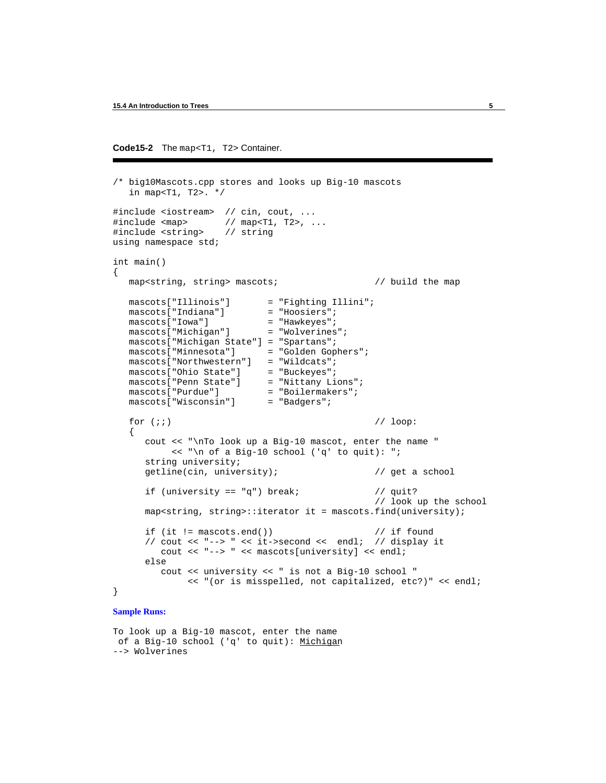```
Code15-2 The map<T1, T2> Container.
```

```
/* big10Mascots.cpp stores and looks up Big-10 mascots 
   in map<T1, T2>. */
#include <iostream> // cin, cout, ...
                      // map<T1, T2>, ...
#include <string> // string
using namespace std;
int main()
{ 
   map<string, string> mascots; \frac{1}{2} // build the map
    mascots["Illinois"] = "Fighting Illini";
   mascots["Indiana"] = "Hoosiers";<br>mascots["Iowa"] = "Hawkeyes";
   mascots["Iowa"] = "Hawkeyes";<br>mascots["Michigan"] = "Wolverines";
   mascots["Michigan"]
   mascots["Michigan State"] = "Spartans";<br>mascots["Minnesota"] = "Golden Gophers";
   mascots["Minnesota"]
    mascots["Northwestern"] = "Wildcats";
   mascots["Ohio State"] = "Buckeyes";<br>mascots["Penn State"] = "Nittany Lions";
   mascots["Penn State"] = "Nittany Lions"<br>mascots["Purdue"] = "Boilermakers";
   mascots["Purdue"] = "Boilermak<br>mascots["Wisconsin"] = "Badgers";
   mascots["Wisconsin"]
   for (i) // loop:
    {
       cout << "\nTo look up a Big-10 mascot, enter the name "
             << "\n of a Big-10 school ('q' to quit): ";
       string university;
       getline(cin, university); // get a school
      if (university == \alpha") break; // quit?
                                                      // look up the school
       map<string, string>::iterator it = mascots.find(university);
      if (it != \text{mascots.end}()) // if found
       // cout << "--> " << it->second << endl; // display it
          cout << "--> " << mascots[university] << endl;
       else
          cout << university << " is not a Big-10 school "
                << "(or is misspelled, not capitalized, etc?)" << endl;
}
Sample Runs:
```
To look up a Big-10 mascot, enter the name of a Big-10 school ('q' to quit): Michigan --> Wolverines